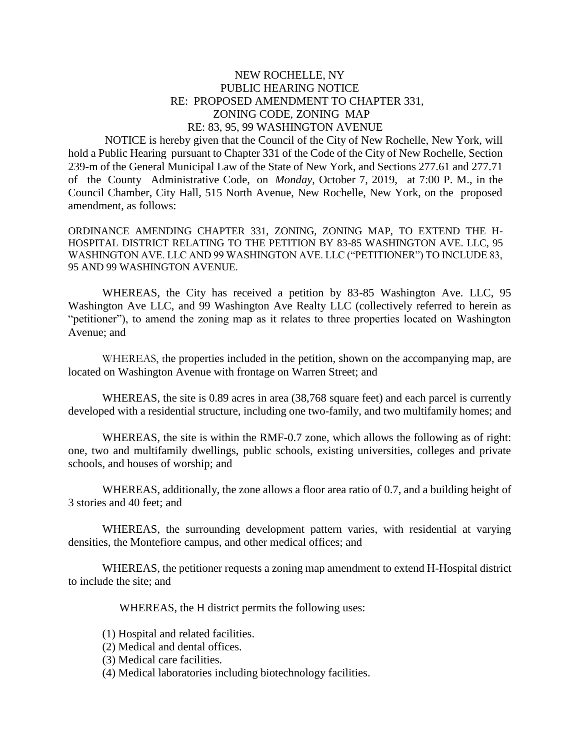## NEW ROCHELLE, NY PUBLIC HEARING NOTICE RE: PROPOSED AMENDMENT TO CHAPTER 331, ZONING CODE, ZONING MAP RE: 83, 95, 99 WASHINGTON AVENUE

 NOTICE is hereby given that the Council of the City of New Rochelle, New York, will hold a Public Hearing pursuant to Chapter 331 of the Code of the City of New Rochelle, Section 239-m of the General Municipal Law of the State of New York, and Sections 277.61 and 277.71 of the County Administrative Code, on *Monday*, October 7, 2019, at 7:00 P. M., in the Council Chamber, City Hall, 515 North Avenue, New Rochelle, New York, on the proposed amendment, as follows:

ORDINANCE AMENDING CHAPTER 331, ZONING, ZONING MAP, TO EXTEND THE H-HOSPITAL DISTRICT RELATING TO THE PETITION BY 83-85 WASHINGTON AVE. LLC, 95 WASHINGTON AVE. LLC AND 99 WASHINGTON AVE. LLC ("PETITIONER") TO INCLUDE 83, 95 AND 99 WASHINGTON AVENUE.

WHEREAS, the City has received a petition by 83-85 Washington Ave. LLC, 95 Washington Ave LLC, and 99 Washington Ave Realty LLC (collectively referred to herein as "petitioner"), to amend the zoning map as it relates to three properties located on Washington Avenue; and

WHEREAS, the properties included in the petition, shown on the accompanying map, are located on Washington Avenue with frontage on Warren Street; and

WHEREAS, the site is 0.89 acres in area (38,768 square feet) and each parcel is currently developed with a residential structure, including one two-family, and two multifamily homes; and

WHEREAS, the site is within the RMF-0.7 zone, which allows the following as of right: one, two and multifamily dwellings, public schools, existing universities, colleges and private schools, and houses of worship; and

WHEREAS, additionally, the zone allows a floor area ratio of 0.7, and a building height of 3 stories and 40 feet; and

WHEREAS, the surrounding development pattern varies, with residential at varying densities, the Montefiore campus, and other medical offices; and

WHEREAS, the petitioner requests a zoning map amendment to extend H-Hospital district to include the site; and

WHEREAS, the H district permits the following uses:

- (1) Hospital and related facilities.
- (2) Medical and dental offices.
- (3) Medical care facilities.
- (4) Medical laboratories including biotechnology facilities.